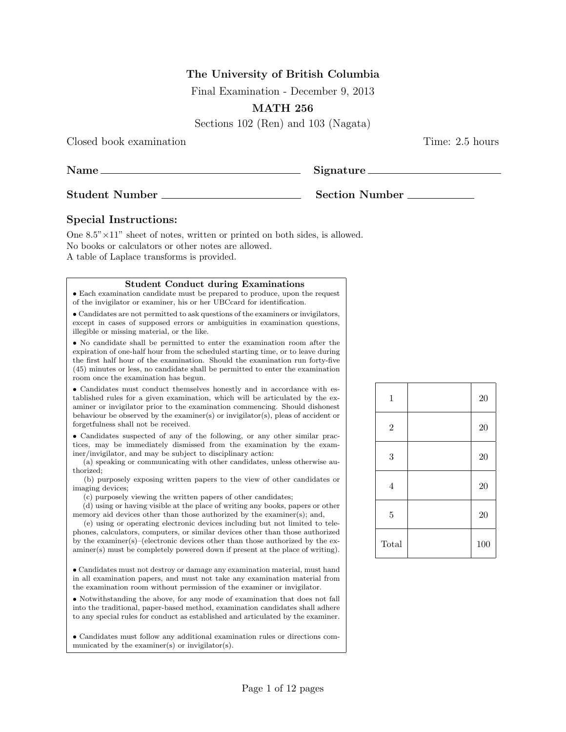## The University of British Columbia

Final Examination - December 9, 2013

## MATH 256

Sections 102 (Ren) and 103 (Nagata)

Closed book examination Time: 2.5 hours

| Name                  | Signature.            |
|-----------------------|-----------------------|
| <b>Student Number</b> | <b>Section Number</b> |

## Special Instructions:

One  $8.5" \times 11"$  sheet of notes, written or printed on both sides, is allowed. No books or calculators or other notes are allowed. A table of Laplace transforms is provided.

## Student Conduct during Examinations

• Each examination candidate must be prepared to produce, upon the request of the invigilator or examiner, his or her UBCcard for identification.

• Candidates are not permitted to ask questions of the examiners or invigilators, except in cases of supposed errors or ambiguities in examination questions, illegible or missing material, or the like.

• No candidate shall be permitted to enter the examination room after the expiration of one-half hour from the scheduled starting time, or to leave during the first half hour of the examination. Should the examination run forty-five (45) minutes or less, no candidate shall be permitted to enter the examination room once the examination has begun.

• Candidates must conduct themselves honestly and in accordance with established rules for a given examination, which will be articulated by the examiner or invigilator prior to the examination commencing. Should dishonest behaviour be observed by the examiner(s) or invigilator(s), pleas of accident or forgetfulness shall not be received.

• Candidates suspected of any of the following, or any other similar practices, may be immediately dismissed from the examination by the examiner/invigilator, and may be subject to disciplinary action:

(a) speaking or communicating with other candidates, unless otherwise authorized;

(b) purposely exposing written papers to the view of other candidates or imaging devices;

(c) purposely viewing the written papers of other candidates;

(d) using or having visible at the place of writing any books, papers or other memory aid devices other than those authorized by the examiner(s); and,

(e) using or operating electronic devices including but not limited to telephones, calculators, computers, or similar devices other than those authorized by the examiner(s)–(electronic devices other than those authorized by the examiner(s) must be completely powered down if present at the place of writing).

• Candidates must not destroy or damage any examination material, must hand in all examination papers, and must not take any examination material from the examination room without permission of the examiner or invigilator.

• Notwithstanding the above, for any mode of examination that does not fall into the traditional, paper-based method, examination candidates shall adhere to any special rules for conduct as established and articulated by the examiner.

• Candidates must follow any additional examination rules or directions communicated by the examiner(s) or invigilator(s).

| $\mathbf{1}$   | 20        |
|----------------|-----------|
| $\overline{2}$ | 20        |
| 3              | 20        |
| $\overline{4}$ | 20        |
| $\overline{5}$ | <b>20</b> |
| Total          | 100       |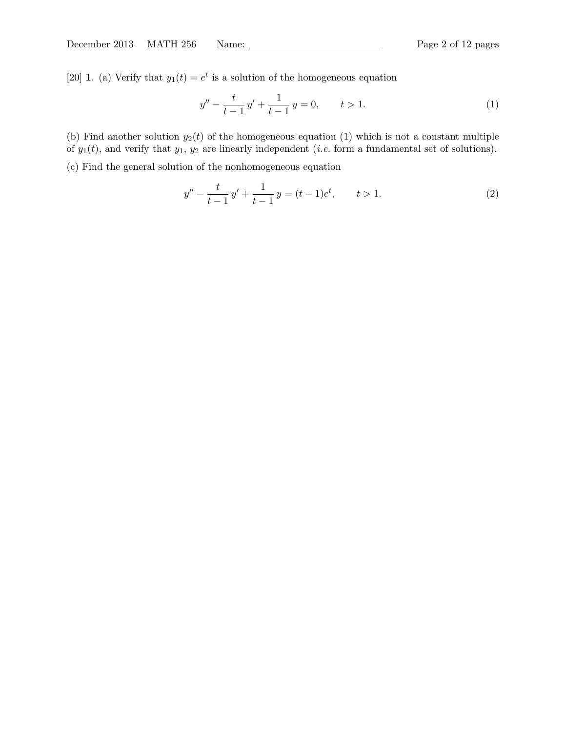[20] **1**. (a) Verify that  $y_1(t) = e^t$  is a solution of the homogeneous equation

$$
y'' - \frac{t}{t-1}y' + \frac{1}{t-1}y = 0, \qquad t > 1.
$$
 (1)

(b) Find another solution  $y_2(t)$  of the homogeneous equation (1) which is not a constant multiple of  $y_1(t)$ , and verify that  $y_1, y_2$  are linearly independent (*i.e.* form a fundamental set of solutions). (c) Find the general solution of the nonhomogeneous equation

$$
y'' - \frac{t}{t-1}y' + \frac{1}{t-1}y = (t-1)e^{t}, \qquad t > 1.
$$
 (2)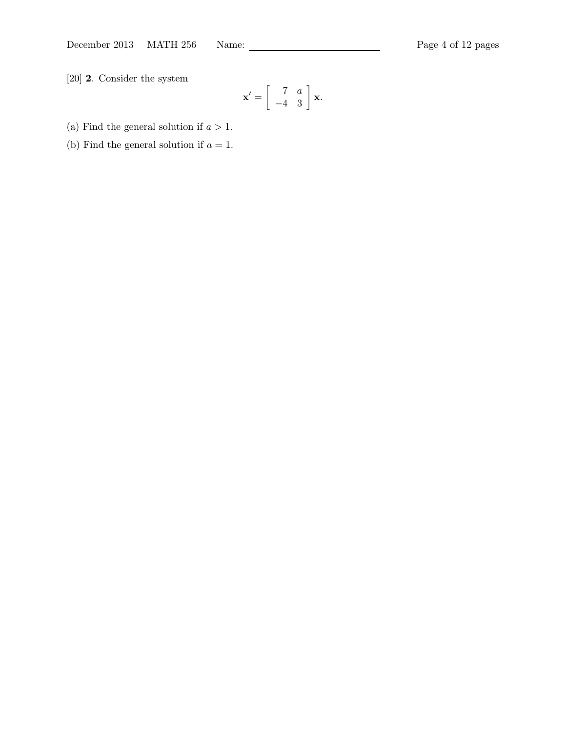[20] 2. Consider the system

$$
\mathbf{x}' = \begin{bmatrix} 7 & a \\ -4 & 3 \end{bmatrix} \mathbf{x}.
$$

- (a) Find the general solution if  $a > 1$ .
- (b) Find the general solution if  $a = 1$ .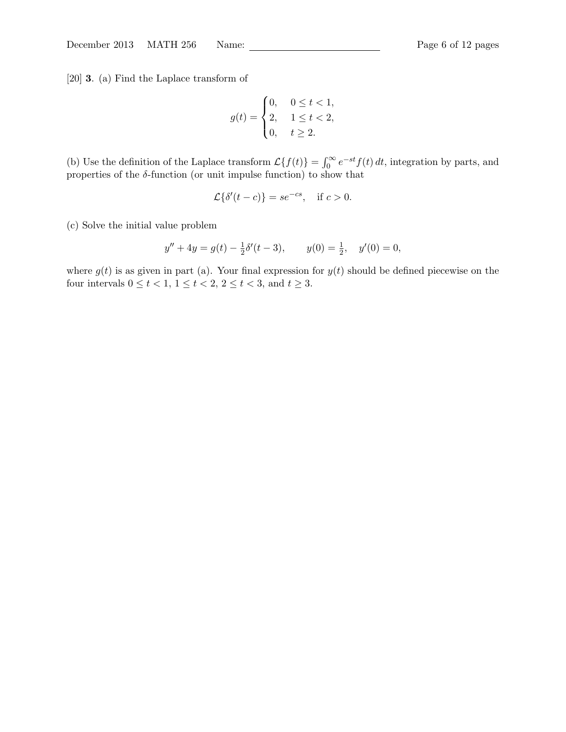$$
g(t) = \begin{cases} 0, & 0 \le t < 1, \\ 2, & 1 \le t < 2, \\ 0, & t \ge 2. \end{cases}
$$

(b) Use the definition of the Laplace transform  $\mathcal{L}{f(t)} = \int_0^\infty e^{-st} f(t) dt$ , integration by parts, and properties of the  $\delta$ -function (or unit impulse function) to show that

$$
\mathcal{L}\{\delta'(t-c)\} = se^{-cs}, \quad \text{if } c > 0.
$$

(c) Solve the initial value problem

$$
y'' + 4y = g(t) - \frac{1}{2}\delta'(t - 3), \qquad y(0) = \frac{1}{2}, \quad y'(0) = 0,
$$

where  $g(t)$  is as given in part (a). Your final expression for  $y(t)$  should be defined piecewise on the four intervals  $0 \le t < 1$ ,  $1 \le t < 2$ ,  $2 \le t < 3$ , and  $t \ge 3$ .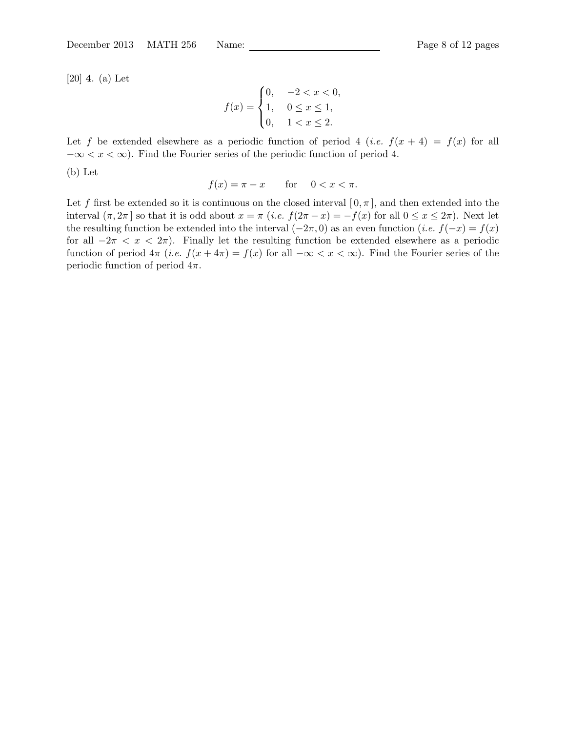[20] 4. (a) Let

$$
f(x) = \begin{cases} 0, & -2 < x < 0, \\ 1, & 0 \le x \le 1, \\ 0, & 1 < x \le 2. \end{cases}
$$

Let f be extended elsewhere as a periodic function of period 4 (*i.e.*  $f(x+4) = f(x)$  for all  $-\infty < x < \infty$ ). Find the Fourier series of the periodic function of period 4.

(b) Let

$$
f(x) = \pi - x \qquad \text{for} \quad 0 < x < \pi.
$$

Let f first be extended so it is continuous on the closed interval  $[0, \pi]$ , and then extended into the interval  $(\pi, 2\pi]$  so that it is odd about  $x = \pi$  (*i.e.*  $f(2\pi - x) = -f(x)$  for all  $0 \le x \le 2\pi$ ). Next let the resulting function be extended into the interval  $(-2\pi, 0)$  as an even function  $(i.e. f(-x) = f(x))$ for all  $-2\pi < x < 2\pi$ ). Finally let the resulting function be extended elsewhere as a periodic function of period  $4\pi$  (*i.e.*  $f(x+4\pi) = f(x)$  for all  $-\infty < x < \infty$ ). Find the Fourier series of the periodic function of period  $4\pi$ .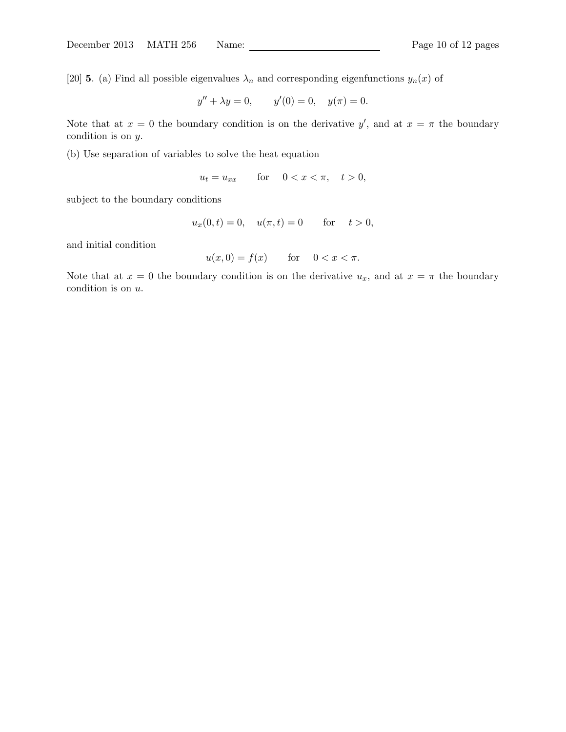[20] **5.** (a) Find all possible eigenvalues  $\lambda_n$  and corresponding eigenfunctions  $y_n(x)$  of

$$
y'' + \lambda y = 0,
$$
  $y'(0) = 0,$   $y(\pi) = 0.$ 

Note that at  $x = 0$  the boundary condition is on the derivative y', and at  $x = \pi$  the boundary condition is on y.

(b) Use separation of variables to solve the heat equation

$$
u_t = u_{xx} \qquad \text{for} \quad 0 < x < \pi, \quad t > 0,
$$

subject to the boundary conditions

$$
u_x(0,t) = 0
$$
,  $u(\pi, t) = 0$  for  $t > 0$ ,

and initial condition

$$
u(x,0) = f(x) \qquad \text{for} \quad 0 < x < \pi.
$$

Note that at  $x = 0$  the boundary condition is on the derivative  $u_x$ , and at  $x = \pi$  the boundary condition is on u.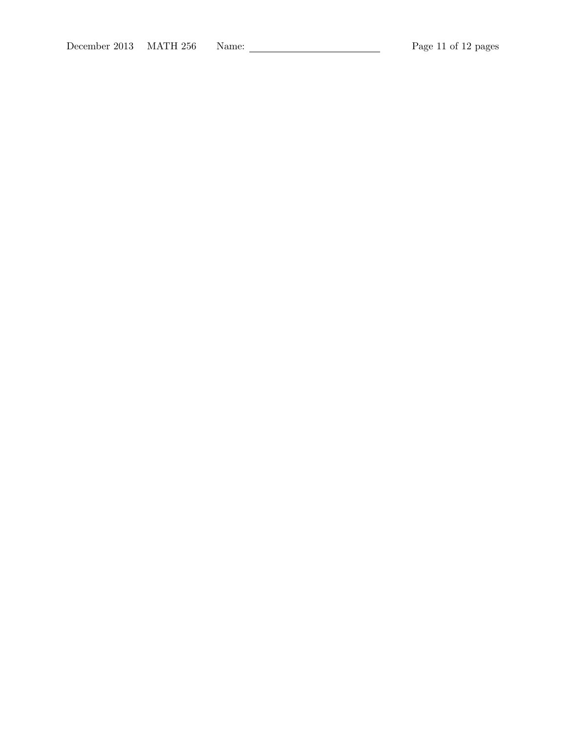December 2013 MATH 256 Name: Page 11 of 12 pages